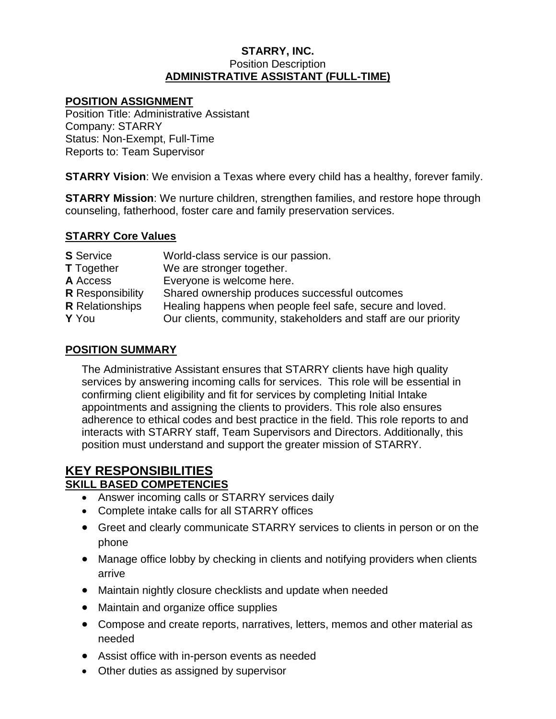#### **STARRY, INC.** Position Description **ADMINISTRATIVE ASSISTANT (FULL-TIME)**

## **POSITION ASSIGNMENT**

Position Title: Administrative Assistant Company: STARRY Status: Non-Exempt, Full-Time Reports to: Team Supervisor

**STARRY Vision**: We envision a Texas where every child has a healthy, forever family.

**STARRY Mission**: We nurture children, strengthen families, and restore hope through counseling, fatherhood, foster care and family preservation services.

## **STARRY Core Values**

| <b>S</b> Service        | World-class service is our passion.                             |
|-------------------------|-----------------------------------------------------------------|
| <b>T</b> Together       | We are stronger together.                                       |
| A Access                | Everyone is welcome here.                                       |
| <b>R</b> Responsibility | Shared ownership produces successful outcomes                   |
| <b>R</b> Relationships  | Healing happens when people feel safe, secure and loved.        |
| Y You                   | Our clients, community, stakeholders and staff are our priority |
|                         |                                                                 |

## **POSITION SUMMARY**

The Administrative Assistant ensures that STARRY clients have high quality services by answering incoming calls for services. This role will be essential in confirming client eligibility and fit for services by completing Initial Intake appointments and assigning the clients to providers. This role also ensures adherence to ethical codes and best practice in the field. This role reports to and interacts with STARRY staff, Team Supervisors and Directors. Additionally, this position must understand and support the greater mission of STARRY.

# **KEY RESPONSIBILITIES**

## **SKILL BASED COMPETENCIES**

- Answer incoming calls or STARRY services daily
- Complete intake calls for all STARRY offices
- Greet and clearly communicate STARRY services to clients in person or on the phone
- Manage office lobby by checking in clients and notifying providers when clients arrive
- Maintain nightly closure checklists and update when needed
- Maintain and organize office supplies
- Compose and create reports, narratives, letters, memos and other material as needed
- Assist office with in-person events as needed
- Other duties as assigned by supervisor